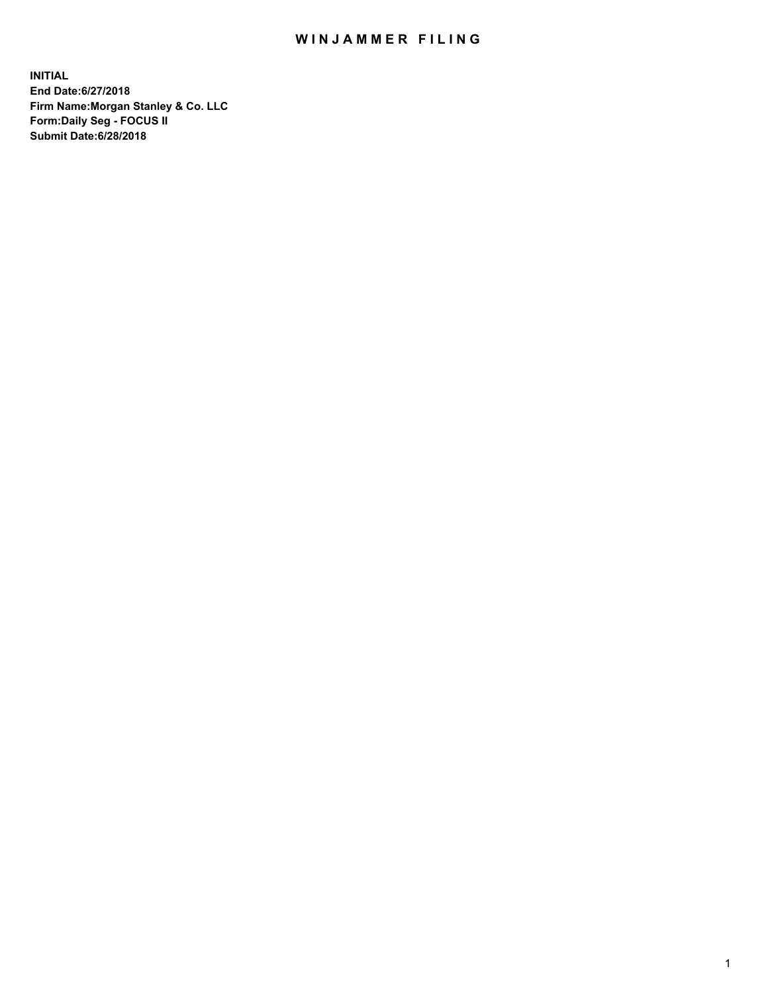## WIN JAMMER FILING

**INITIAL End Date:6/27/2018 Firm Name:Morgan Stanley & Co. LLC Form:Daily Seg - FOCUS II Submit Date:6/28/2018**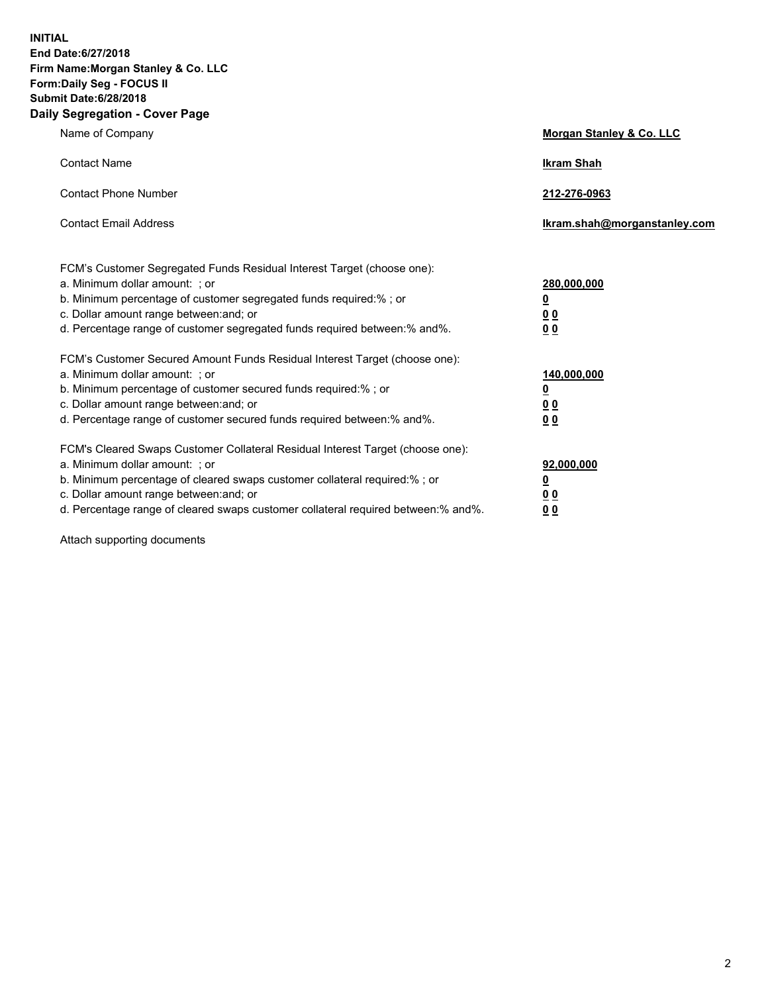**INITIAL End Date:6/27/2018 Firm Name:Morgan Stanley & Co. LLC Form:Daily Seg - FOCUS II Submit Date:6/28/2018 Daily Segregation - Cover Page**

| Name of Company                                                                                                                                                                                                                                                                                                                | Morgan Stanley & Co. LLC                               |
|--------------------------------------------------------------------------------------------------------------------------------------------------------------------------------------------------------------------------------------------------------------------------------------------------------------------------------|--------------------------------------------------------|
| <b>Contact Name</b>                                                                                                                                                                                                                                                                                                            | <b>Ikram Shah</b>                                      |
| <b>Contact Phone Number</b>                                                                                                                                                                                                                                                                                                    | 212-276-0963                                           |
| <b>Contact Email Address</b>                                                                                                                                                                                                                                                                                                   | lkram.shah@morganstanley.com                           |
| FCM's Customer Segregated Funds Residual Interest Target (choose one):<br>a. Minimum dollar amount: ; or<br>b. Minimum percentage of customer segregated funds required:% ; or<br>c. Dollar amount range between: and; or<br>d. Percentage range of customer segregated funds required between:% and%.                         | 280,000,000<br><u>0</u><br><u>0 0</u><br>0 Q           |
| FCM's Customer Secured Amount Funds Residual Interest Target (choose one):<br>a. Minimum dollar amount: ; or<br>b. Minimum percentage of customer secured funds required:%; or<br>c. Dollar amount range between: and; or<br>d. Percentage range of customer secured funds required between:% and%.                            | 140,000,000<br><u>0</u><br><u>00</u><br>0 <sub>0</sub> |
| FCM's Cleared Swaps Customer Collateral Residual Interest Target (choose one):<br>a. Minimum dollar amount: ; or<br>b. Minimum percentage of cleared swaps customer collateral required:% ; or<br>c. Dollar amount range between: and; or<br>d. Percentage range of cleared swaps customer collateral required between:% and%. | 92,000,000<br><u>0</u><br><u>00</u><br>0 <sup>0</sup>  |

Attach supporting documents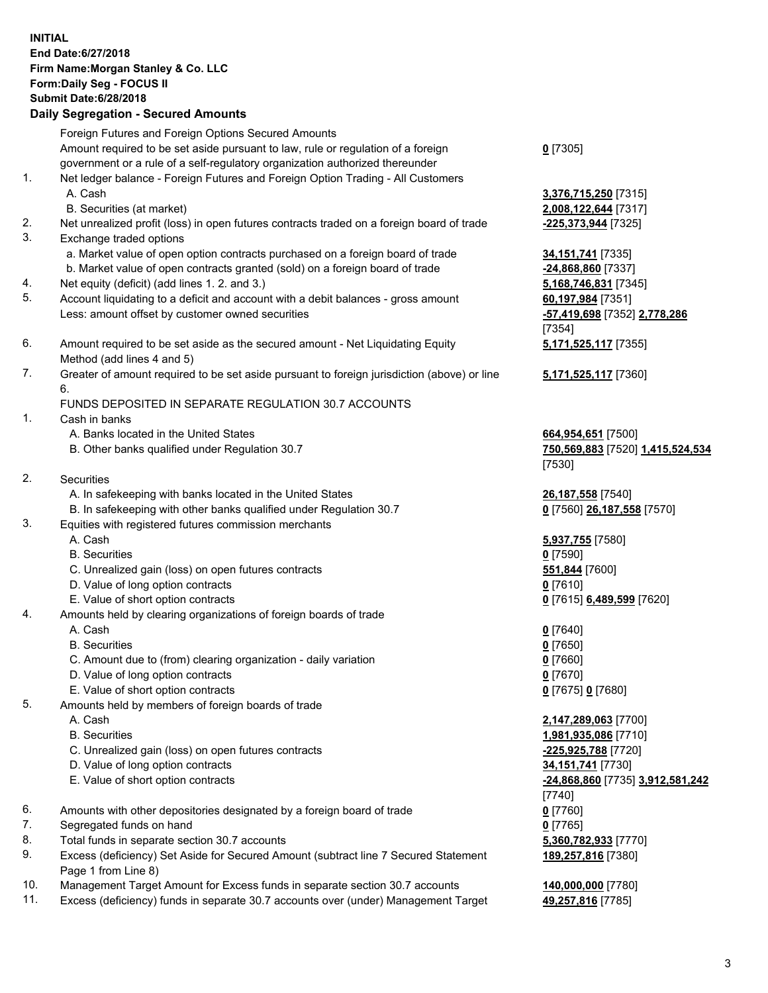## **INITIAL End Date:6/27/2018 Firm Name:Morgan Stanley & Co. LLC Form:Daily Seg - FOCUS II Submit Date:6/28/2018 Daily Segregation - Secured Amounts** Foreign Futures and Foreign Options Secured Amounts Amount required to be set aside pursuant to law, rule or regulation of a foreign government or a rule of a self-regulatory organization authorized thereunder 1. Net ledger balance - Foreign Futures and Foreign Option Trading - All Customers A. Cash **3,376,715,250** [7315] B. Securities (at market) **2,008,122,644** [7317] 2. Net unrealized profit (loss) in open futures contracts traded on a foreign board of trade **-225,373,944** [7325] 3. Exchange traded options a. Market value of open option contracts purchased on a foreign board of trade **34,151,741** [7335] b. Market value of open contracts granted (sold) on a foreign board of trade **-24,868,860** [7337] 4. Net equity (deficit) (add lines 1. 2. and 3.) **5,168,746,831** [7345] 5. Account liquidating to a deficit and account with a debit balances - gross amount **60,197,984** [7351] Less: amount offset by customer owned securities **-57,419,698** [7352] **2,778,286** 6. Amount required to be set aside as the secured amount - Net Liquidating Equity Method (add lines 4 and 5) 7. Greater of amount required to be set aside pursuant to foreign jurisdiction (above) or line 6. FUNDS DEPOSITED IN SEPARATE REGULATION 30.7 ACCOUNTS 1. Cash in banks A. Banks located in the United States **664,954,651** [7500] B. Other banks qualified under Regulation 30.7 **750,569,883** [7520] **1,415,524,534** 2. Securities A. In safekeeping with banks located in the United States **26,187,558** [7540] B. In safekeeping with other banks qualified under Regulation 30.7 **0** [7560] **26,187,558** [7570] 3. Equities with registered futures commission merchants A. Cash **5,937,755** [7580]

- 
- C. Unrealized gain (loss) on open futures contracts **551,844** [7600]
- D. Value of long option contracts **0** [7610]
- E. Value of short option contracts **0** [7615] **6,489,599** [7620]
- 4. Amounts held by clearing organizations of foreign boards of trade
	- A. Cash **0** [7640]
	- B. Securities **0** [7650]
	- C. Amount due to (from) clearing organization daily variation **0** [7660]
	- D. Value of long option contracts **0** [7670]
	- E. Value of short option contracts **0** [7675] **0** [7680]
- 5. Amounts held by members of foreign boards of trade
	-
	-
	- C. Unrealized gain (loss) on open futures contracts **-225,925,788** [7720]
	- D. Value of long option contracts **34,151,741** [7730]
	- E. Value of short option contracts **-24,868,860** [7735] **3,912,581,242**
- 6. Amounts with other depositories designated by a foreign board of trade **0** [7760]
- 7. Segregated funds on hand **0** [7765]
- 8. Total funds in separate section 30.7 accounts **5,360,782,933** [7770]
- 9. Excess (deficiency) Set Aside for Secured Amount (subtract line 7 Secured Statement Page 1 from Line 8)
- 10. Management Target Amount for Excess funds in separate section 30.7 accounts **140,000,000** [7780]
- 11. Excess (deficiency) funds in separate 30.7 accounts over (under) Management Target **49,257,816** [7785]

**0** [7305]

[7354] **5,171,525,117** [7355]

**5,171,525,117** [7360]

[7530]

B. Securities **0** [7590]

 A. Cash **2,147,289,063** [7700] B. Securities **1,981,935,086** [7710] [7740] **189,257,816** [7380]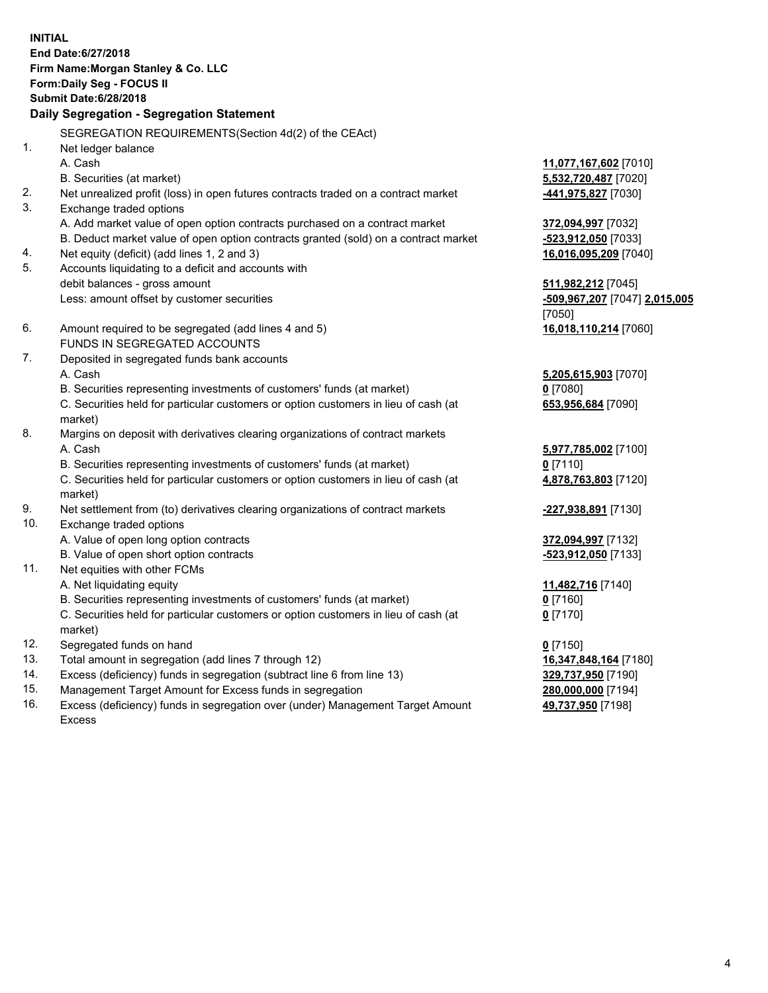**INITIAL End Date:6/27/2018 Firm Name:Morgan Stanley & Co. LLC Form:Daily Seg - FOCUS II Submit Date:6/28/2018 Daily Segregation - Segregation Statement** SEGREGATION REQUIREMENTS(Section 4d(2) of the CEAct) 1. Net ledger balance A. Cash **11,077,167,602** [7010] B. Securities (at market) **5,532,720,487** [7020] 2. Net unrealized profit (loss) in open futures contracts traded on a contract market **-441,975,827** [7030] 3. Exchange traded options A. Add market value of open option contracts purchased on a contract market **372,094,997** [7032] B. Deduct market value of open option contracts granted (sold) on a contract market **-523,912,050** [7033] 4. Net equity (deficit) (add lines 1, 2 and 3) **16,016,095,209** [7040] 5. Accounts liquidating to a deficit and accounts with debit balances - gross amount **511,982,212** [7045] Less: amount offset by customer securities **-509,967,207** [7047] **2,015,005** [7050] 6. Amount required to be segregated (add lines 4 and 5) **16,018,110,214** [7060] FUNDS IN SEGREGATED ACCOUNTS 7. Deposited in segregated funds bank accounts A. Cash **5,205,615,903** [7070] B. Securities representing investments of customers' funds (at market) **0** [7080] C. Securities held for particular customers or option customers in lieu of cash (at market) **653,956,684** [7090] 8. Margins on deposit with derivatives clearing organizations of contract markets A. Cash **5,977,785,002** [7100] B. Securities representing investments of customers' funds (at market) **0** [7110] C. Securities held for particular customers or option customers in lieu of cash (at market) **4,878,763,803** [7120] 9. Net settlement from (to) derivatives clearing organizations of contract markets **-227,938,891** [7130] 10. Exchange traded options A. Value of open long option contracts **372,094,997** [7132] B. Value of open short option contracts **-523,912,050** [7133] 11. Net equities with other FCMs A. Net liquidating equity **11,482,716** [7140] B. Securities representing investments of customers' funds (at market) **0** [7160] C. Securities held for particular customers or option customers in lieu of cash (at market) **0** [7170] 12. Segregated funds on hand **0** [7150] 13. Total amount in segregation (add lines 7 through 12) **16,347,848,164** [7180] 14. Excess (deficiency) funds in segregation (subtract line 6 from line 13) **329,737,950** [7190]

- 15. Management Target Amount for Excess funds in segregation **280,000,000** [7194]
- 16. Excess (deficiency) funds in segregation over (under) Management Target Amount Excess

**49,737,950** [7198]